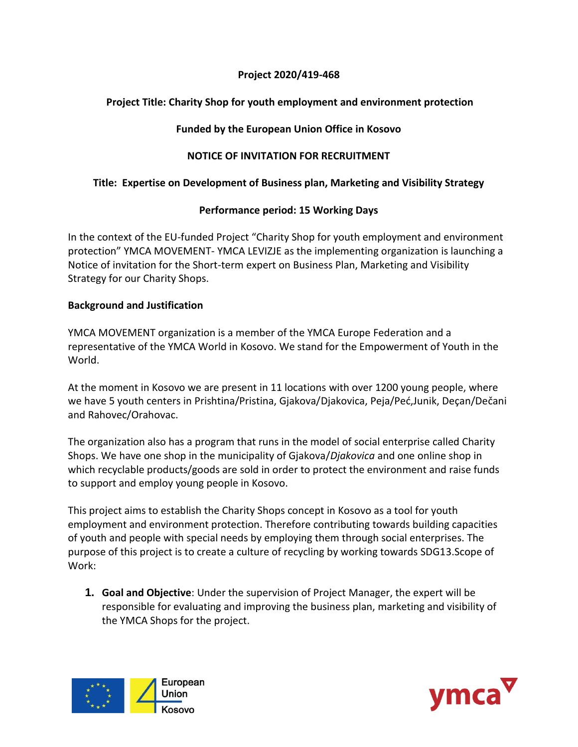#### **Project 2020/419-468**

# **Project Title: Charity Shop for youth employment and environment protection**

# **Funded by the European Union Office in Kosovo**

# **NOTICE OF INVITATION FOR RECRUITMENT**

### **Title: Expertise on Development of Business plan, Marketing and Visibility Strategy**

### **Performance period: 15 Working Days**

In the context of the EU-funded Project "Charity Shop for youth employment and environment protection" YMCA MOVEMENT- YMCA LEVIZJE as the implementing organization is launching a Notice of invitation for the Short-term expert on Business Plan, Marketing and Visibility Strategy for our Charity Shops.

### **Background and Justification**

YMCA MOVEMENT organization is a member of the YMCA Europe Federation and a representative of the YMCA World in Kosovo. We stand for the Empowerment of Youth in the World.

At the moment in Kosovo we are present in 11 locations with over 1200 young people, where we have 5 youth centers in Prishtina/Pristina, Gjakova/Djakovica, Peja/Peć,Junik, Deçan/Dečani and Rahovec/Orahovac.

The organization also has a program that runs in the model of social enterprise called Charity Shops. We have one shop in the municipality of Gjakova/*Djakovica* and one online shop in which recyclable products/goods are sold in order to protect the environment and raise funds to support and employ young people in Kosovo.

This project aims to establish the Charity Shops concept in Kosovo as a tool for youth employment and environment protection. Therefore contributing towards building capacities of youth and people with special needs by employing them through social enterprises. The purpose of this project is to create a culture of recycling by working towards SDG13.Scope of Work:

**1. Goal and Objective**: Under the supervision of Project Manager, the expert will be responsible for evaluating and improving the business plan, marketing and visibility of the YMCA Shops for the project.



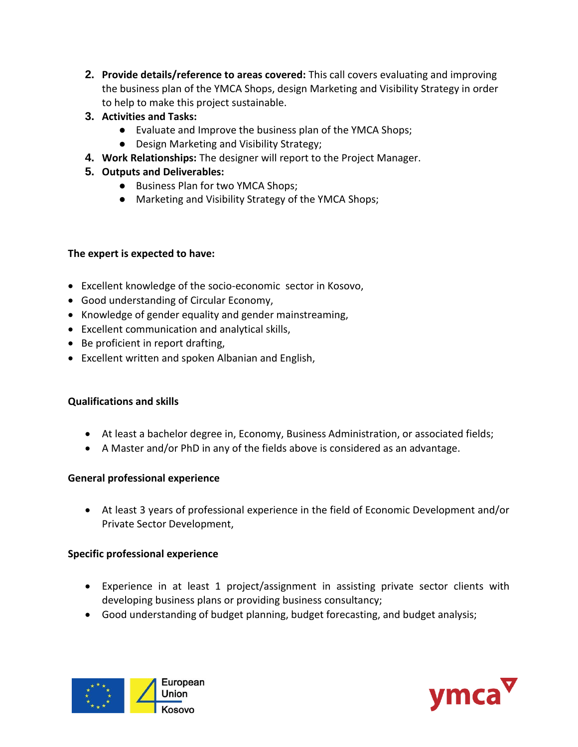- **2. Provide details/reference to areas covered:** This call covers evaluating and improving the business plan of the YMCA Shops, design Marketing and Visibility Strategy in order to help to make this project sustainable.
- **3. Activities and Tasks:**
	- Evaluate and Improve the business plan of the YMCA Shops;
	- Design Marketing and Visibility Strategy;
- **4. Work Relationships:** The designer will report to the Project Manager.
- **5. Outputs and Deliverables:**
	- Business Plan for two YMCA Shops;
	- Marketing and Visibility Strategy of the YMCA Shops;

# **The expert is expected to have:**

- Excellent knowledge of the socio-economic sector in Kosovo,
- Good understanding of Circular Economy,
- Knowledge of gender equality and gender mainstreaming,
- Excellent communication and analytical skills,
- Be proficient in report drafting,
- Excellent written and spoken Albanian and English,

# **Qualifications and skills**

- At least a bachelor degree in, Economy, Business Administration, or associated fields;
- A Master and/or PhD in any of the fields above is considered as an advantage.

# **General professional experience**

 At least 3 years of professional experience in the field of Economic Development and/or Private Sector Development,

# **Specific professional experience**

- Experience in at least 1 project/assignment in assisting private sector clients with developing business plans or providing business consultancy;
- Good understanding of budget planning, budget forecasting, and budget analysis;